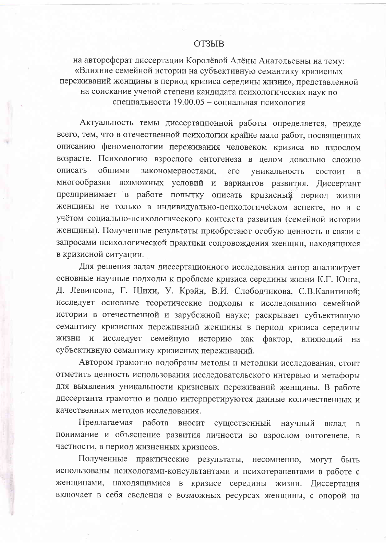## **ОТЗЫВ**

на автореферат диссертации Королёвой Алёны Анатольевны на тему: «Влияние семейной истории на субъективную семантику кризисных переживаний женщины в период кризиса середины жизни», представленной на соискание ученой степени кандидата психологических наук по специальности 19.00.05 - социальная психология

Актуальность темы диссертационной работы определяется, прежде всего, тем, что в отечественной психологии крайне мало работ, посвященных описанию феноменологии переживания человеком кризиса во взрослом возрасте. Психологию взрослого онтогенеза в целом довольно сложно закономерностями, описать общими  $e_{\Gamma}$ уникальность состоит  $\mathbf{R}$ многообразии возможных условий и вариантов развития. Диссертант предпринимает в работе попытку описать кризисный период жизни женщины не только в индивидуально-психологическом аспекте, но и с учётом социально-психологического контекста развития (семейной истории женщины). Полученные результаты приобретают особую ценность в связи с запросами психологической практики сопровождения женщин, находящихся в кризисной ситуации.

Для решения задач диссертационного исследования автор анализирует основные научные подходы к проблеме кризиса середины жизни К.Г. Юнга, Д. Левинсона, Г. Шихи, У. Крэйн, В.И. Слободчикова, С.В.Калитиной; исследует основные теоретические подходы к исследованию семейной истории в отечественной и зарубежной науке; раскрывает субъективную семантику кризисных переживаний женщины в период кризиса середины жизни и исследует семейную историю как фактор, влияющий на субъективную семантику кризисных переживаний.

Автором грамотно подобраны методы и методики исследования, стоит отметить ценность использования исследовательского интервью и метафоры для выявления уникальности кризисных переживаний женщины. В работе диссертанта грамотно и полно интерпретируются данные количественных и качественных методов исследования.

Предлагаемая работа вносит существенный научный вклал  $\overline{B}$ понимание и объяснение развития личности во взрослом онтогенезе, в частности, в период жизненных кризисов.

Полученные практические результаты, несомненно, могут быть использованы психологами-консультантами и психотерапевтами в работе с женщинами, находящимися в кризисе середины жизни. Диссертация включает в себя сведения о возможных ресурсах женщины, с опорой на